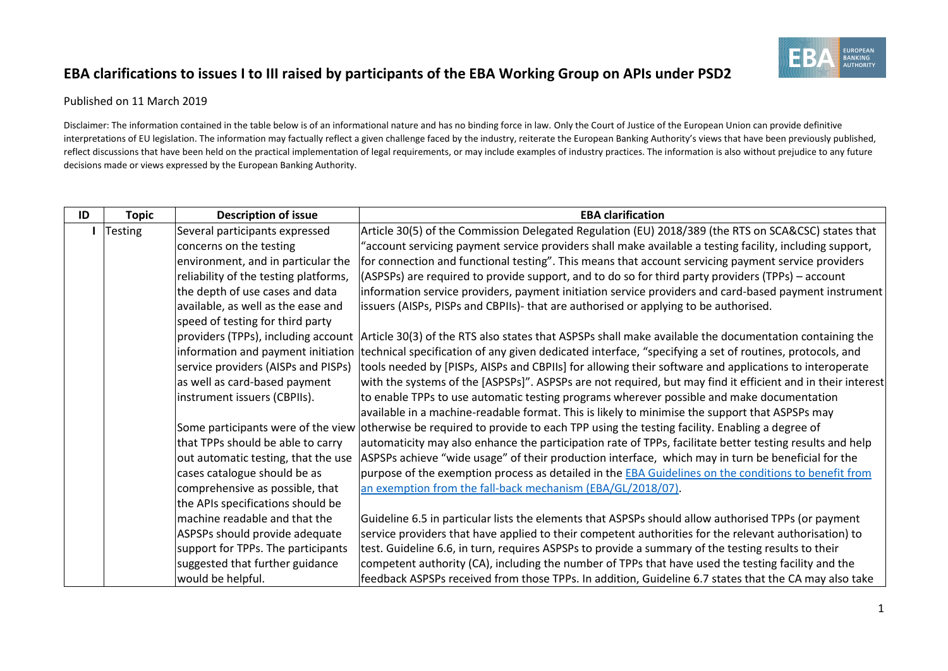## **EBA clarifications to issues I to III raised by participants of the EBA Working Group on APIs under PSD2**



## Published on 11 March 2019

Disclaimer: The information contained in the table below is of an informational nature and has no binding force in law. Only the Court of Justice of the European Union can provide definitive interpretations of EU legislation. The information may factually reflect a given challenge faced by the industry, reiterate the European Banking Authority's views that have been previously published, reflect discussions that have been held on the practical implementation of legal requirements, or may include examples of industry practices. The information is also without prejudice to any future decisions made or views expressed by the European Banking Authority.

| ID | <b>Topic</b>   | <b>Description of issue</b>           | <b>EBA clarification</b>                                                                                                                   |
|----|----------------|---------------------------------------|--------------------------------------------------------------------------------------------------------------------------------------------|
|    | <b>Testing</b> | Several participants expressed        | Article 30(5) of the Commission Delegated Regulation (EU) 2018/389 (the RTS on SCA&CSC) states that                                        |
|    |                | concerns on the testing               | account servicing payment service providers shall make available a testing facility, including support,"                                   |
|    |                | environment, and in particular the    | for connection and functional testing". This means that account servicing payment service providers                                        |
|    |                | reliability of the testing platforms, | (ASPSPs) are required to provide support, and to do so for third party providers (TPPs) – account                                          |
|    |                | the depth of use cases and data       | information service providers, payment initiation service providers and card-based payment instrument                                      |
|    |                | available, as well as the ease and    | issuers (AISPs, PISPs and CBPIIs)- that are authorised or applying to be authorised.                                                       |
|    |                | speed of testing for third party      |                                                                                                                                            |
|    |                |                                       | providers (TPPs), including account Article 30(3) of the RTS also states that ASPSPs shall make available the documentation containing the |
|    |                | information and payment initiation    | technical specification of any given dedicated interface, "specifying a set of routines, protocols, and                                    |
|    |                | service providers (AISPs and PISPs)   | tools needed by [PISPs, AISPs and CBPIIs] for allowing their software and applications to interoperate                                     |
|    |                | as well as card-based payment         | with the systems of the [ASPSPs]". ASPSPs are not required, but may find it efficient and in their interest                                |
|    |                | instrument issuers (CBPIIs).          | to enable TPPs to use automatic testing programs wherever possible and make documentation                                                  |
|    |                |                                       | available in a machine-readable format. This is likely to minimise the support that ASPSPs may                                             |
|    |                |                                       | Some participants were of the view otherwise be required to provide to each TPP using the testing facility. Enabling a degree of           |
|    |                | that TPPs should be able to carry     | automaticity may also enhance the participation rate of TPPs, facilitate better testing results and help                                   |
|    |                | out automatic testing, that the use   | ASPSPs achieve "wide usage" of their production interface, which may in turn be beneficial for the                                         |
|    |                | cases catalogue should be as          | purpose of the exemption process as detailed in the <b>EBA</b> Guidelines on the conditions to benefit from                                |
|    |                | comprehensive as possible, that       | an exemption from the fall-back mechanism (EBA/GL/2018/07).                                                                                |
|    |                | the APIs specifications should be     |                                                                                                                                            |
|    |                | lmachine readable and that the        | Guideline 6.5 in particular lists the elements that ASPSPs should allow authorised TPPs (or payment                                        |
|    |                | ASPSPs should provide adequate        | service providers that have applied to their competent authorities for the relevant authorisation) to                                      |
|    |                | support for TPPs. The participants    | test. Guideline 6.6, in turn, requires ASPSPs to provide a summary of the testing results to their                                         |
|    |                | suggested that further guidance       | competent authority (CA), including the number of TPPs that have used the testing facility and the                                         |
|    |                | would be helpful.                     | feedback ASPSPs received from those TPPs. In addition, Guideline 6.7 states that the CA may also take                                      |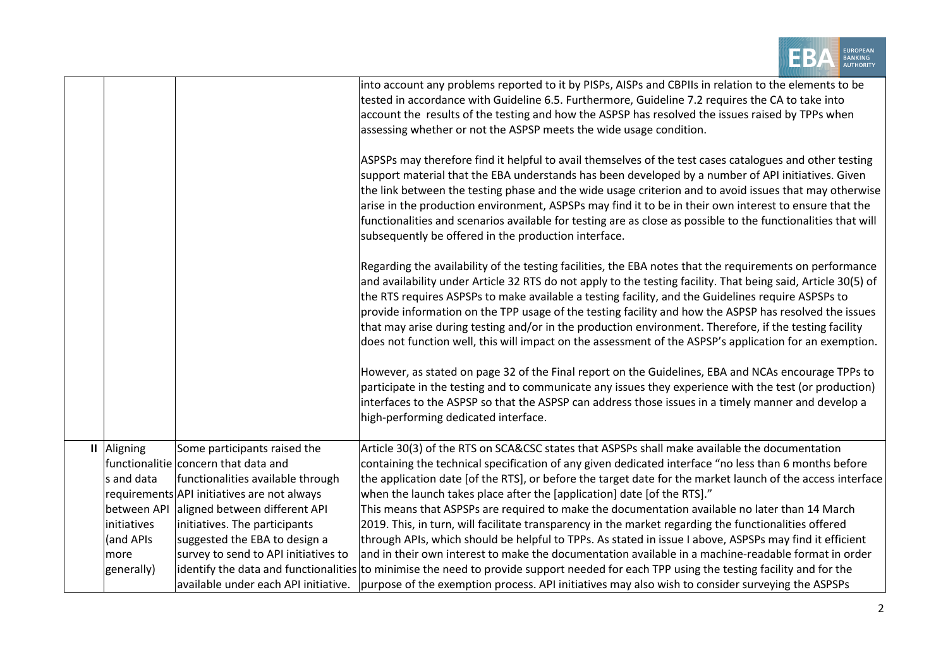|              |             |                                             | EUROPEAN<br>BANKING                                                                                                                                                                                                                                                                                                                                                                                                                                                                                                                                                                                                                                            |
|--------------|-------------|---------------------------------------------|----------------------------------------------------------------------------------------------------------------------------------------------------------------------------------------------------------------------------------------------------------------------------------------------------------------------------------------------------------------------------------------------------------------------------------------------------------------------------------------------------------------------------------------------------------------------------------------------------------------------------------------------------------------|
|              |             |                                             | into account any problems reported to it by PISPs, AISPs and CBPIIs in relation to the elements to be                                                                                                                                                                                                                                                                                                                                                                                                                                                                                                                                                          |
|              |             |                                             | tested in accordance with Guideline 6.5. Furthermore, Guideline 7.2 requires the CA to take into                                                                                                                                                                                                                                                                                                                                                                                                                                                                                                                                                               |
|              |             |                                             | account the results of the testing and how the ASPSP has resolved the issues raised by TPPs when                                                                                                                                                                                                                                                                                                                                                                                                                                                                                                                                                               |
|              |             |                                             | assessing whether or not the ASPSP meets the wide usage condition.                                                                                                                                                                                                                                                                                                                                                                                                                                                                                                                                                                                             |
|              |             |                                             | ASPSPs may therefore find it helpful to avail themselves of the test cases catalogues and other testing<br>support material that the EBA understands has been developed by a number of API initiatives. Given<br>the link between the testing phase and the wide usage criterion and to avoid issues that may otherwise<br>arise in the production environment, ASPSPs may find it to be in their own interest to ensure that the<br>functionalities and scenarios available for testing are as close as possible to the functionalities that will<br>subsequently be offered in the production interface.                                                     |
|              |             |                                             | Regarding the availability of the testing facilities, the EBA notes that the requirements on performance<br>and availability under Article 32 RTS do not apply to the testing facility. That being said, Article 30(5) of<br>the RTS requires ASPSPs to make available a testing facility, and the Guidelines require ASPSPs to<br>provide information on the TPP usage of the testing facility and how the ASPSP has resolved the issues<br>that may arise during testing and/or in the production environment. Therefore, if the testing facility<br>does not function well, this will impact on the assessment of the ASPSP's application for an exemption. |
|              |             |                                             | However, as stated on page 32 of the Final report on the Guidelines, EBA and NCAs encourage TPPs to<br>participate in the testing and to communicate any issues they experience with the test (or production)<br>interfaces to the ASPSP so that the ASPSP can address those issues in a timely manner and develop a<br>high-performing dedicated interface.                                                                                                                                                                                                                                                                                                   |
| $\mathbf{u}$ | Aligning    | Some participants raised the                | Article 30(3) of the RTS on SCA&CSC states that ASPSPs shall make available the documentation                                                                                                                                                                                                                                                                                                                                                                                                                                                                                                                                                                  |
|              |             | functionalitie concern that data and        | containing the technical specification of any given dedicated interface "no less than 6 months before                                                                                                                                                                                                                                                                                                                                                                                                                                                                                                                                                          |
|              | s and data  | functionalities available through           | the application date [of the RTS], or before the target date for the market launch of the access interface                                                                                                                                                                                                                                                                                                                                                                                                                                                                                                                                                     |
|              |             | requirements API initiatives are not always | when the launch takes place after the [application] date [of the RTS]."                                                                                                                                                                                                                                                                                                                                                                                                                                                                                                                                                                                        |
|              | between API | aligned between different API               | This means that ASPSPs are required to make the documentation available no later than 14 March                                                                                                                                                                                                                                                                                                                                                                                                                                                                                                                                                                 |
|              | initiatives | initiatives. The participants               | 2019. This, in turn, will facilitate transparency in the market regarding the functionalities offered                                                                                                                                                                                                                                                                                                                                                                                                                                                                                                                                                          |
|              | (and APIs   | suggested the EBA to design a               | through APIs, which should be helpful to TPPs. As stated in issue I above, ASPSPs may find it efficient                                                                                                                                                                                                                                                                                                                                                                                                                                                                                                                                                        |
|              | more        | survey to send to API initiatives to        | and in their own interest to make the documentation available in a machine-readable format in order                                                                                                                                                                                                                                                                                                                                                                                                                                                                                                                                                            |
|              | generally)  |                                             | identify the data and functionalities to minimise the need to provide support needed for each TPP using the testing facility and for the                                                                                                                                                                                                                                                                                                                                                                                                                                                                                                                       |
|              |             | available under each API initiative.        | purpose of the exemption process. API initiatives may also wish to consider surveying the ASPSPs                                                                                                                                                                                                                                                                                                                                                                                                                                                                                                                                                               |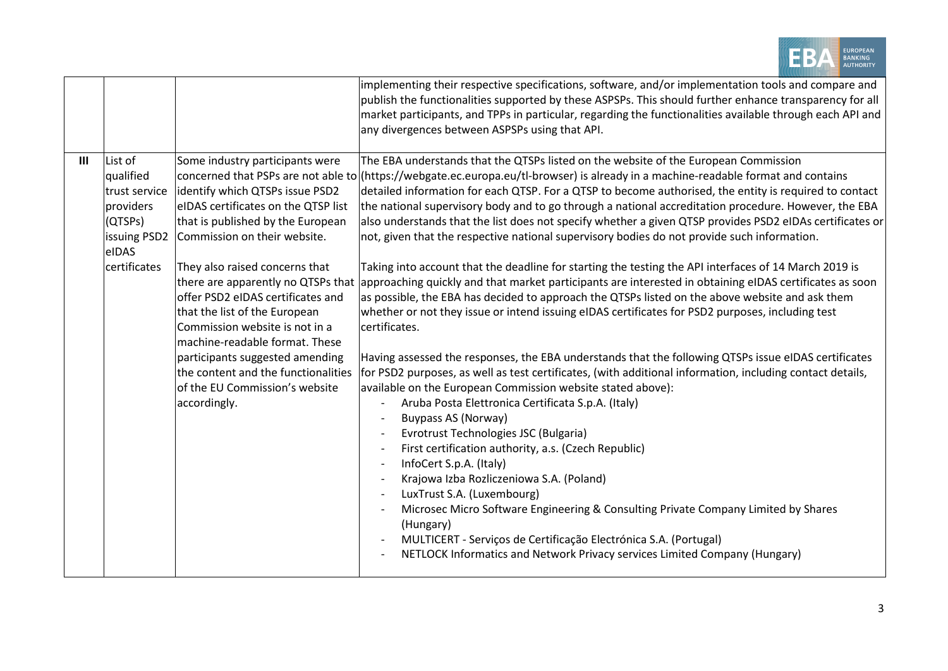|     |                                                                                                        |                                                                                                                                                                                                                                                                                                                                                                                                                                                                                                                              | EUROPEAN<br><b>BANKING</b>                                                                                                                                                                                                                                                                                                                                                                                                                                                                                                                                                                                                                                                                                                                                                                                                                                                                                                                                                                                                                                                                                                                                                                                                                                                                                                                                                                                                                                                                                                                                                                                                                                                                                                                                                                                                                                                                                                            |
|-----|--------------------------------------------------------------------------------------------------------|------------------------------------------------------------------------------------------------------------------------------------------------------------------------------------------------------------------------------------------------------------------------------------------------------------------------------------------------------------------------------------------------------------------------------------------------------------------------------------------------------------------------------|---------------------------------------------------------------------------------------------------------------------------------------------------------------------------------------------------------------------------------------------------------------------------------------------------------------------------------------------------------------------------------------------------------------------------------------------------------------------------------------------------------------------------------------------------------------------------------------------------------------------------------------------------------------------------------------------------------------------------------------------------------------------------------------------------------------------------------------------------------------------------------------------------------------------------------------------------------------------------------------------------------------------------------------------------------------------------------------------------------------------------------------------------------------------------------------------------------------------------------------------------------------------------------------------------------------------------------------------------------------------------------------------------------------------------------------------------------------------------------------------------------------------------------------------------------------------------------------------------------------------------------------------------------------------------------------------------------------------------------------------------------------------------------------------------------------------------------------------------------------------------------------------------------------------------------------|
|     |                                                                                                        |                                                                                                                                                                                                                                                                                                                                                                                                                                                                                                                              | implementing their respective specifications, software, and/or implementation tools and compare and<br>publish the functionalities supported by these ASPSPs. This should further enhance transparency for all<br>market participants, and TPPs in particular, regarding the functionalities available through each API and<br>any divergences between ASPSPs using that API.                                                                                                                                                                                                                                                                                                                                                                                                                                                                                                                                                                                                                                                                                                                                                                                                                                                                                                                                                                                                                                                                                                                                                                                                                                                                                                                                                                                                                                                                                                                                                         |
| III | List of<br>qualified<br>trust service<br>providers<br>(QTSPs)<br>issuing PSD2<br>eIDAS<br>certificates | Some industry participants were<br>identify which QTSPs issue PSD2<br>eIDAS certificates on the QTSP list<br>that is published by the European<br>Commission on their website.<br>They also raised concerns that<br>there are apparently no QTSPs that<br>offer PSD2 eIDAS certificates and<br>that the list of the European<br>Commission website is not in a<br>machine-readable format. These<br>participants suggested amending<br>the content and the functionalities<br>of the EU Commission's website<br>accordingly. | The EBA understands that the QTSPs listed on the website of the European Commission<br>concerned that PSPs are not able to (https://webgate.ec.europa.eu/tl-browser) is already in a machine-readable format and contains<br>detailed information for each QTSP. For a QTSP to become authorised, the entity is required to contact<br>the national supervisory body and to go through a national accreditation procedure. However, the EBA<br>also understands that the list does not specify whether a given QTSP provides PSD2 eIDAs certificates or<br>not, given that the respective national supervisory bodies do not provide such information.<br>Taking into account that the deadline for starting the testing the API interfaces of 14 March 2019 is<br>approaching quickly and that market participants are interested in obtaining eIDAS certificates as soon<br>as possible, the EBA has decided to approach the QTSPs listed on the above website and ask them<br>whether or not they issue or intend issuing eIDAS certificates for PSD2 purposes, including test<br>certificates.<br>Having assessed the responses, the EBA understands that the following QTSPs issue eIDAS certificates<br>for PSD2 purposes, as well as test certificates, (with additional information, including contact details,<br>available on the European Commission website stated above):<br>Aruba Posta Elettronica Certificata S.p.A. (Italy)<br><b>Buypass AS (Norway)</b><br>Evrotrust Technologies JSC (Bulgaria)<br>First certification authority, a.s. (Czech Republic)<br>InfoCert S.p.A. (Italy)<br>Krajowa Izba Rozliczeniowa S.A. (Poland)<br>LuxTrust S.A. (Luxembourg)<br>Microsec Micro Software Engineering & Consulting Private Company Limited by Shares<br>(Hungary)<br>MULTICERT - Serviços de Certificação Electrónica S.A. (Portugal)<br>NETLOCK Informatics and Network Privacy services Limited Company (Hungary) |